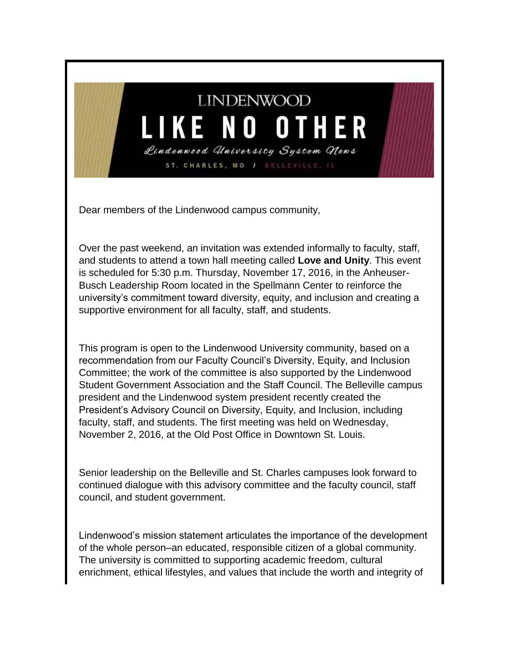## **LINDENWOOD** LIKE NO OTHER Lindenwood University System Clews

ST. CHARLES, MO / BELLEVIL

Dear members of the Lindenwood campus community,

Over the past weekend, an invitation was extended informally to faculty, staff, and students to attend a town hall meeting called **Love and Unity**. This event is scheduled for 5:30 p.m. Thursday, November 17, 2016, in the Anheuser-Busch Leadership Room located in the Spellmann Center to reinforce the university's commitment toward diversity, equity, and inclusion and creating a supportive environment for all faculty, staff, and students.

This program is open to the Lindenwood University community, based on a recommendation from our Faculty Council's Diversity, Equity, and Inclusion Committee; the work of the committee is also supported by the Lindenwood Student Government Association and the Staff Council. The Belleville campus president and the Lindenwood system president recently created the President's Advisory Council on Diversity, Equity, and Inclusion, including faculty, staff, and students. The first meeting was held on Wednesday, November 2, 2016, at the Old Post Office in Downtown St. Louis.

Senior leadership on the Belleville and St. Charles campuses look forward to continued dialogue with this advisory committee and the faculty council, staff council, and student government.

Lindenwood's mission statement articulates the importance of the development of the whole person–an educated, responsible citizen of a global community. The university is committed to supporting academic freedom, cultural enrichment, ethical lifestyles, and values that include the worth and integrity of